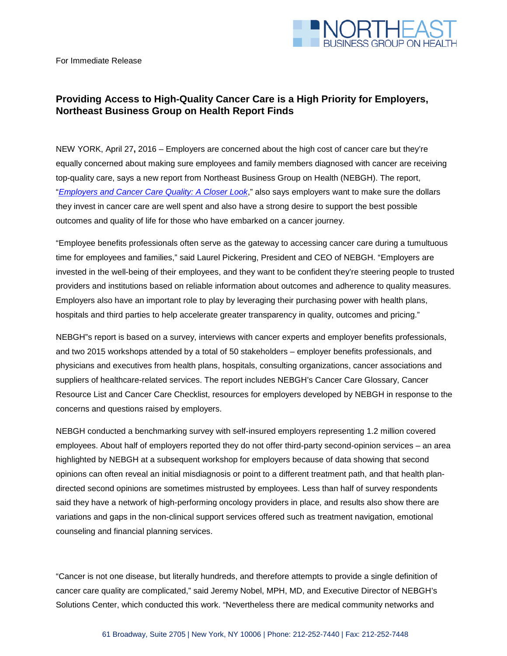

For Immediate Release

## **Providing Access to High-Quality Cancer Care is a High Priority for Employers, Northeast Business Group on Health Report Finds**

NEW YORK, April 27**,** 2016 – Employers are concerned about the high cost of cancer care but they're equally concerned about making sure employees and family members diagnosed with cancer are receiving top-quality care, says a new report from Northeast Business Group on Health (NEBGH). The report, "*[Employers and Cancer Care Quality: A Closer Look](http://nebgh.org/wp-content/uploads/2016/04/NEBGH_CancerRoundtable-FINAL-flat.pdf)*," also says employers want to make sure the dollars they invest in cancer care are well spent and also have a strong desire to support the best possible outcomes and quality of life for those who have embarked on a cancer journey.

"Employee benefits professionals often serve as the gateway to accessing cancer care during a tumultuous time for employees and families," said Laurel Pickering, President and CEO of NEBGH. "Employers are invested in the well-being of their employees, and they want to be confident they're steering people to trusted providers and institutions based on reliable information about outcomes and adherence to quality measures. Employers also have an important role to play by leveraging their purchasing power with health plans, hospitals and third parties to help accelerate greater transparency in quality, outcomes and pricing."

NEBGH"s report is based on a survey, interviews with cancer experts and employer benefits professionals, and two 2015 workshops attended by a total of 50 stakeholders – employer benefits professionals, and physicians and executives from health plans, hospitals, consulting organizations, cancer associations and suppliers of healthcare-related services. The report includes NEBGH's Cancer Care Glossary, Cancer Resource List and Cancer Care Checklist, resources for employers developed by NEBGH in response to the concerns and questions raised by employers.

NEBGH conducted a benchmarking survey with self-insured employers representing 1.2 million covered employees. About half of employers reported they do not offer third-party second-opinion services – an area highlighted by NEBGH at a subsequent workshop for employers because of data showing that second opinions can often reveal an initial misdiagnosis or point to a different treatment path, and that health plandirected second opinions are sometimes mistrusted by employees. Less than half of survey respondents said they have a network of high-performing oncology providers in place, and results also show there are variations and gaps in the non-clinical support services offered such as treatment navigation, emotional counseling and financial planning services.

"Cancer is not one disease, but literally hundreds, and therefore attempts to provide a single definition of cancer care quality are complicated," said Jeremy Nobel, MPH, MD, and Executive Director of NEBGH's Solutions Center, which conducted this work. "Nevertheless there are medical community networks and